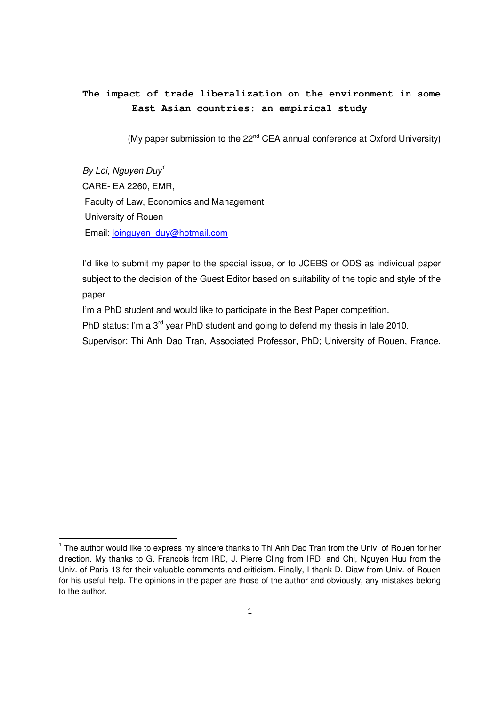## **The impact of trade liberalization on the environment in some East Asian countries: an empirical study**

(My paper submission to the  $22^{nd}$  CEA annual conference at Oxford University)

By Loi, Nauven Duy<sup>1</sup> CARE- EA 2260, EMR, Faculty of Law, Economics and Management University of Rouen Email: loinguyen\_duy@hotmail.com

<u>.</u>

I'd like to submit my paper to the special issue, or to JCEBS or ODS as individual paper subject to the decision of the Guest Editor based on suitability of the topic and style of the paper.

I'm a PhD student and would like to participate in the Best Paper competition.

PhD status: I'm a 3<sup>rd</sup> year PhD student and going to defend my thesis in late 2010.

Supervisor: Thi Anh Dao Tran, Associated Professor, PhD; University of Rouen, France.

<sup>&</sup>lt;sup>1</sup> The author would like to express my sincere thanks to Thi Anh Dao Tran from the Univ. of Rouen for her direction. My thanks to G. Francois from IRD, J. Pierre Cling from IRD, and Chi, Nguyen Huu from the Univ. of Paris 13 for their valuable comments and criticism. Finally, I thank D. Diaw from Univ. of Rouen for his useful help. The opinions in the paper are those of the author and obviously, any mistakes belong to the author.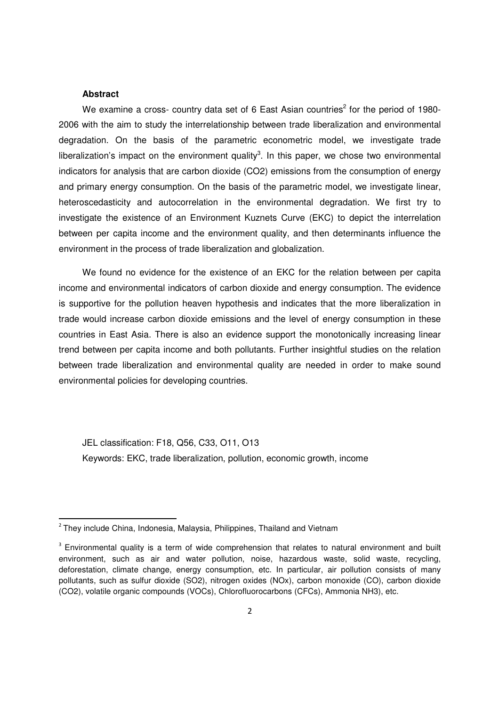#### **Abstract**

<u>.</u>

We examine a cross- country data set of 6 East Asian countries<sup>2</sup> for the period of 1980-2006 with the aim to study the interrelationship between trade liberalization and environmental degradation. On the basis of the parametric econometric model, we investigate trade liberalization's impact on the environment quality<sup>3</sup>. In this paper, we chose two environmental indicators for analysis that are carbon dioxide (CO2) emissions from the consumption of energy and primary energy consumption. On the basis of the parametric model, we investigate linear, heteroscedasticity and autocorrelation in the environmental degradation. We first try to investigate the existence of an Environment Kuznets Curve (EKC) to depict the interrelation between per capita income and the environment quality, and then determinants influence the environment in the process of trade liberalization and globalization.

We found no evidence for the existence of an EKC for the relation between per capita income and environmental indicators of carbon dioxide and energy consumption. The evidence is supportive for the pollution heaven hypothesis and indicates that the more liberalization in trade would increase carbon dioxide emissions and the level of energy consumption in these countries in East Asia. There is also an evidence support the monotonically increasing linear trend between per capita income and both pollutants. Further insightful studies on the relation between trade liberalization and environmental quality are needed in order to make sound environmental policies for developing countries.

JEL classification: F18, Q56, C33, O11, O13 Keywords: EKC, trade liberalization, pollution, economic growth, income

<sup>&</sup>lt;sup>2</sup> They include China, Indonesia, Malaysia, Philippines, Thailand and Vietnam

 $3$  Environmental quality is a term of wide comprehension that relates to natural environment and built environment, such as air and water pollution, noise, hazardous waste, solid waste, recycling, deforestation, climate change, energy consumption, etc. In particular, air pollution consists of many pollutants, such as sulfur dioxide (SO2), nitrogen oxides (NOx), carbon monoxide (CO), carbon dioxide (CO2), volatile organic compounds (VOCs), Chlorofluorocarbons (CFCs), Ammonia NH3), etc.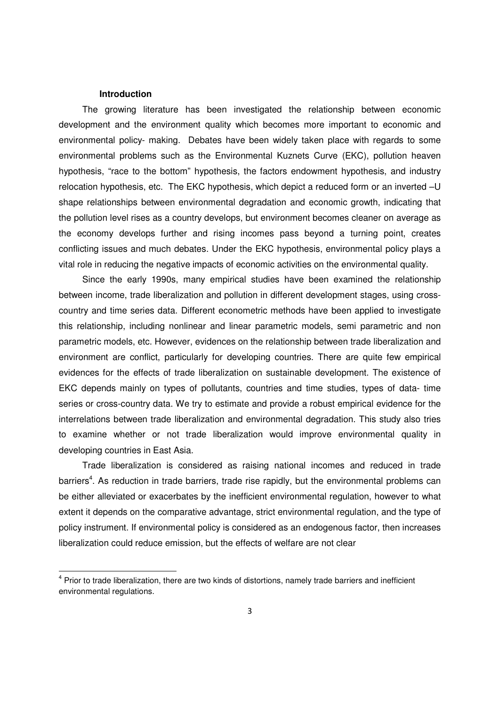#### **Introduction**

<u>.</u>

The growing literature has been investigated the relationship between economic development and the environment quality which becomes more important to economic and environmental policy- making. Debates have been widely taken place with regards to some environmental problems such as the Environmental Kuznets Curve (EKC), pollution heaven hypothesis, "race to the bottom" hypothesis, the factors endowment hypothesis, and industry relocation hypothesis, etc. The EKC hypothesis, which depict a reduced form or an inverted –U shape relationships between environmental degradation and economic growth, indicating that the pollution level rises as a country develops, but environment becomes cleaner on average as the economy develops further and rising incomes pass beyond a turning point, creates conflicting issues and much debates. Under the EKC hypothesis, environmental policy plays a vital role in reducing the negative impacts of economic activities on the environmental quality.

Since the early 1990s, many empirical studies have been examined the relationship between income, trade liberalization and pollution in different development stages, using crosscountry and time series data. Different econometric methods have been applied to investigate this relationship, including nonlinear and linear parametric models, semi parametric and non parametric models, etc. However, evidences on the relationship between trade liberalization and environment are conflict, particularly for developing countries. There are quite few empirical evidences for the effects of trade liberalization on sustainable development. The existence of EKC depends mainly on types of pollutants, countries and time studies, types of data- time series or cross-country data. We try to estimate and provide a robust empirical evidence for the interrelations between trade liberalization and environmental degradation. This study also tries to examine whether or not trade liberalization would improve environmental quality in developing countries in East Asia.

Trade liberalization is considered as raising national incomes and reduced in trade barriers<sup>4</sup>. As reduction in trade barriers, trade rise rapidly, but the environmental problems can be either alleviated or exacerbates by the inefficient environmental regulation, however to what extent it depends on the comparative advantage, strict environmental regulation, and the type of policy instrument. If environmental policy is considered as an endogenous factor, then increases liberalization could reduce emission, but the effects of welfare are not clear

<sup>&</sup>lt;sup>4</sup> Prior to trade liberalization, there are two kinds of distortions, namely trade barriers and inefficient environmental regulations.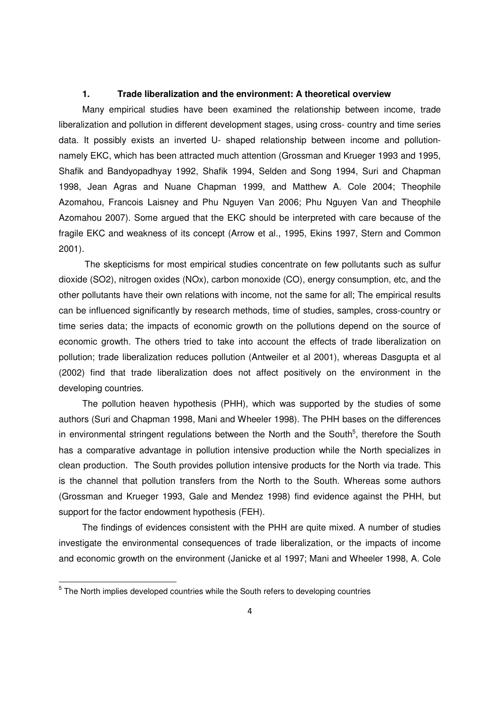#### **1. Trade liberalization and the environment: A theoretical overview**

Many empirical studies have been examined the relationship between income, trade liberalization and pollution in different development stages, using cross- country and time series data. It possibly exists an inverted U- shaped relationship between income and pollutionnamely EKC, which has been attracted much attention (Grossman and Krueger 1993 and 1995, Shafik and Bandyopadhyay 1992, Shafik 1994, Selden and Song 1994, Suri and Chapman 1998, Jean Agras and Nuane Chapman 1999, and Matthew A. Cole 2004; Theophile Azomahou, Francois Laisney and Phu Nguyen Van 2006; Phu Nguyen Van and Theophile Azomahou 2007). Some argued that the EKC should be interpreted with care because of the fragile EKC and weakness of its concept (Arrow et al., 1995, Ekins 1997, Stern and Common 2001).

 The skepticisms for most empirical studies concentrate on few pollutants such as sulfur dioxide (SO2), nitrogen oxides (NOx), carbon monoxide (CO), energy consumption, etc, and the other pollutants have their own relations with income, not the same for all; The empirical results can be influenced significantly by research methods, time of studies, samples, cross-country or time series data; the impacts of economic growth on the pollutions depend on the source of economic growth. The others tried to take into account the effects of trade liberalization on pollution; trade liberalization reduces pollution (Antweiler et al 2001), whereas Dasgupta et al (2002) find that trade liberalization does not affect positively on the environment in the developing countries.

The pollution heaven hypothesis (PHH), which was supported by the studies of some authors (Suri and Chapman 1998, Mani and Wheeler 1998). The PHH bases on the differences in environmental stringent regulations between the North and the South<sup>5</sup>, therefore the South has a comparative advantage in pollution intensive production while the North specializes in clean production. The South provides pollution intensive products for the North via trade. This is the channel that pollution transfers from the North to the South. Whereas some authors (Grossman and Krueger 1993, Gale and Mendez 1998) find evidence against the PHH, but support for the factor endowment hypothesis (FEH).

The findings of evidences consistent with the PHH are quite mixed. A number of studies investigate the environmental consequences of trade liberalization, or the impacts of income and economic growth on the environment (Janicke et al 1997; Mani and Wheeler 1998, A. Cole

<sup>&</sup>lt;sup>5</sup> The North implies developed countries while the South refers to developing countries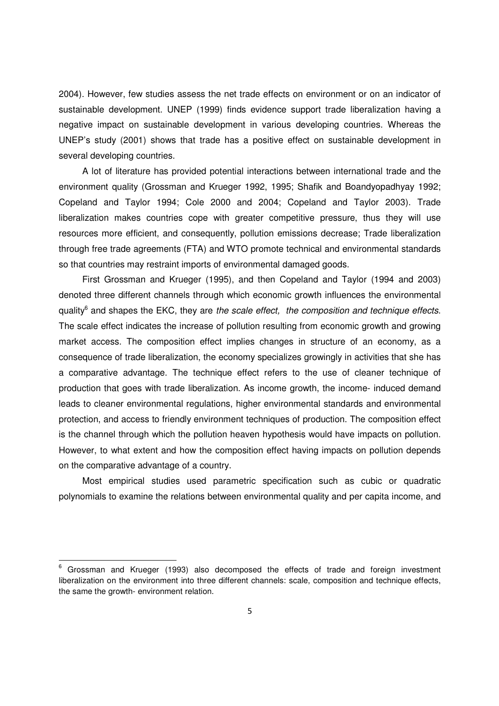2004). However, few studies assess the net trade effects on environment or on an indicator of sustainable development. UNEP (1999) finds evidence support trade liberalization having a negative impact on sustainable development in various developing countries. Whereas the UNEP's study (2001) shows that trade has a positive effect on sustainable development in several developing countries.

A lot of literature has provided potential interactions between international trade and the environment quality (Grossman and Krueger 1992, 1995; Shafik and Boandyopadhyay 1992; Copeland and Taylor 1994; Cole 2000 and 2004; Copeland and Taylor 2003). Trade liberalization makes countries cope with greater competitive pressure, thus they will use resources more efficient, and consequently, pollution emissions decrease; Trade liberalization through free trade agreements (FTA) and WTO promote technical and environmental standards so that countries may restraint imports of environmental damaged goods.

First Grossman and Krueger (1995), and then Copeland and Taylor (1994 and 2003) denoted three different channels through which economic growth influences the environmental quality<sup>6</sup> and shapes the EKC, they are the scale effect, the composition and technique effects. The scale effect indicates the increase of pollution resulting from economic growth and growing market access. The composition effect implies changes in structure of an economy, as a consequence of trade liberalization, the economy specializes growingly in activities that she has a comparative advantage. The technique effect refers to the use of cleaner technique of production that goes with trade liberalization. As income growth, the income- induced demand leads to cleaner environmental regulations, higher environmental standards and environmental protection, and access to friendly environment techniques of production. The composition effect is the channel through which the pollution heaven hypothesis would have impacts on pollution. However, to what extent and how the composition effect having impacts on pollution depends on the comparative advantage of a country.

Most empirical studies used parametric specification such as cubic or quadratic polynomials to examine the relations between environmental quality and per capita income, and

<sup>&</sup>lt;sup>6</sup> Grossman and Krueger (1993) also decomposed the effects of trade and foreign investment liberalization on the environment into three different channels: scale, composition and technique effects, the same the growth- environment relation.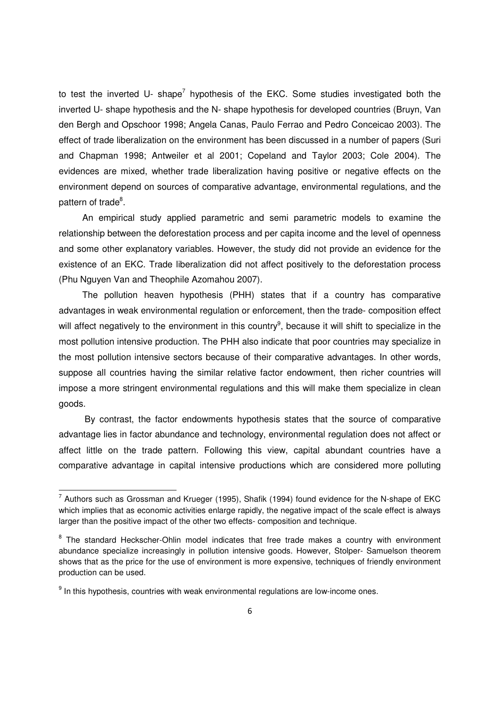to test the inverted U- shape<sup>7</sup> hypothesis of the EKC. Some studies investigated both the inverted U- shape hypothesis and the N- shape hypothesis for developed countries (Bruyn, Van den Bergh and Opschoor 1998; Angela Canas, Paulo Ferrao and Pedro Conceicao 2003). The effect of trade liberalization on the environment has been discussed in a number of papers (Suri and Chapman 1998; Antweiler et al 2001; Copeland and Taylor 2003; Cole 2004). The evidences are mixed, whether trade liberalization having positive or negative effects on the environment depend on sources of comparative advantage, environmental regulations, and the pattern of trade<sup>8</sup>.

An empirical study applied parametric and semi parametric models to examine the relationship between the deforestation process and per capita income and the level of openness and some other explanatory variables. However, the study did not provide an evidence for the existence of an EKC. Trade liberalization did not affect positively to the deforestation process (Phu Nguyen Van and Theophile Azomahou 2007).

The pollution heaven hypothesis (PHH) states that if a country has comparative advantages in weak environmental regulation or enforcement, then the trade- composition effect will affect negatively to the environment in this country<sup>9</sup>, because it will shift to specialize in the most pollution intensive production. The PHH also indicate that poor countries may specialize in the most pollution intensive sectors because of their comparative advantages. In other words, suppose all countries having the similar relative factor endowment, then richer countries will impose a more stringent environmental regulations and this will make them specialize in clean goods.

 By contrast, the factor endowments hypothesis states that the source of comparative advantage lies in factor abundance and technology, environmental regulation does not affect or affect little on the trade pattern. Following this view, capital abundant countries have a comparative advantage in capital intensive productions which are considered more polluting

 $^7$  Authors such as Grossman and Krueger (1995), Shafik (1994) found evidence for the N-shape of EKC which implies that as economic activities enlarge rapidly, the negative impact of the scale effect is always larger than the positive impact of the other two effects- composition and technique.

<sup>&</sup>lt;sup>8</sup> The standard Heckscher-Ohlin model indicates that free trade makes a country with environment abundance specialize increasingly in pollution intensive goods. However, Stolper- Samuelson theorem shows that as the price for the use of environment is more expensive, techniques of friendly environment production can be used.

 $9$  In this hypothesis, countries with weak environmental regulations are low-income ones.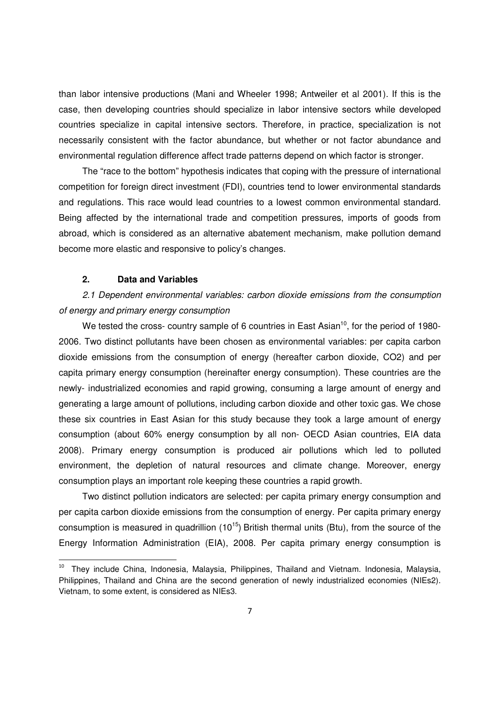than labor intensive productions (Mani and Wheeler 1998; Antweiler et al 2001). If this is the case, then developing countries should specialize in labor intensive sectors while developed countries specialize in capital intensive sectors. Therefore, in practice, specialization is not necessarily consistent with the factor abundance, but whether or not factor abundance and environmental regulation difference affect trade patterns depend on which factor is stronger.

The "race to the bottom" hypothesis indicates that coping with the pressure of international competition for foreign direct investment (FDI), countries tend to lower environmental standards and regulations. This race would lead countries to a lowest common environmental standard. Being affected by the international trade and competition pressures, imports of goods from abroad, which is considered as an alternative abatement mechanism, make pollution demand become more elastic and responsive to policy's changes.

## **2. Data and Variables**

<u>.</u>

2.1 Dependent environmental variables: carbon dioxide emissions from the consumption of energy and primary energy consumption

We tested the cross- country sample of 6 countries in East Asian<sup>10</sup>, for the period of 1980-2006. Two distinct pollutants have been chosen as environmental variables: per capita carbon dioxide emissions from the consumption of energy (hereafter carbon dioxide, CO2) and per capita primary energy consumption (hereinafter energy consumption). These countries are the newly- industrialized economies and rapid growing, consuming a large amount of energy and generating a large amount of pollutions, including carbon dioxide and other toxic gas. We chose these six countries in East Asian for this study because they took a large amount of energy consumption (about 60% energy consumption by all non- OECD Asian countries, EIA data 2008). Primary energy consumption is produced air pollutions which led to polluted environment, the depletion of natural resources and climate change. Moreover, energy consumption plays an important role keeping these countries a rapid growth.

Two distinct pollution indicators are selected: per capita primary energy consumption and per capita carbon dioxide emissions from the consumption of energy. Per capita primary energy consumption is measured in quadrillion  $(10^{15})$  British thermal units (Btu), from the source of the Energy Information Administration (EIA), 2008. Per capita primary energy consumption is

<sup>&</sup>lt;sup>10</sup> They include China, Indonesia, Malaysia, Philippines, Thailand and Vietnam. Indonesia, Malaysia, Philippines, Thailand and China are the second generation of newly industrialized economies (NIEs2). Vietnam, to some extent, is considered as NIEs3.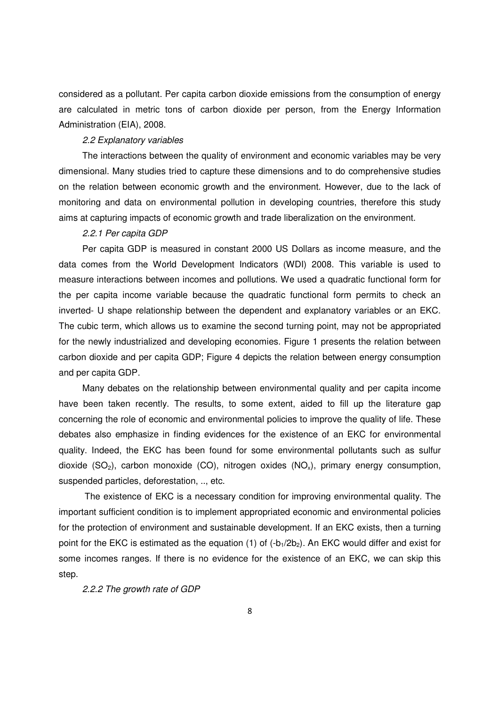considered as a pollutant. Per capita carbon dioxide emissions from the consumption of energy are calculated in metric tons of carbon dioxide per person, from the Energy Information Administration (EIA), 2008.

#### 2.2 Explanatory variables

The interactions between the quality of environment and economic variables may be very dimensional. Many studies tried to capture these dimensions and to do comprehensive studies on the relation between economic growth and the environment. However, due to the lack of monitoring and data on environmental pollution in developing countries, therefore this study aims at capturing impacts of economic growth and trade liberalization on the environment.

#### 2.2.1 Per capita GDP

Per capita GDP is measured in constant 2000 US Dollars as income measure, and the data comes from the World Development Indicators (WDI) 2008. This variable is used to measure interactions between incomes and pollutions. We used a quadratic functional form for the per capita income variable because the quadratic functional form permits to check an inverted- U shape relationship between the dependent and explanatory variables or an EKC. The cubic term, which allows us to examine the second turning point, may not be appropriated for the newly industrialized and developing economies. Figure 1 presents the relation between carbon dioxide and per capita GDP; Figure 4 depicts the relation between energy consumption and per capita GDP.

Many debates on the relationship between environmental quality and per capita income have been taken recently. The results, to some extent, aided to fill up the literature gap concerning the role of economic and environmental policies to improve the quality of life. These debates also emphasize in finding evidences for the existence of an EKC for environmental quality. Indeed, the EKC has been found for some environmental pollutants such as sulfur dioxide  $(SO_2)$ , carbon monoxide  $(CO)$ , nitrogen oxides  $(NO_x)$ , primary energy consumption, suspended particles, deforestation, .., etc.

 The existence of EKC is a necessary condition for improving environmental quality. The important sufficient condition is to implement appropriated economic and environmental policies for the protection of environment and sustainable development. If an EKC exists, then a turning point for the EKC is estimated as the equation (1) of  $(-b_1/2b_2)$ . An EKC would differ and exist for some incomes ranges. If there is no evidence for the existence of an EKC, we can skip this step.

2.2.2 The growth rate of GDP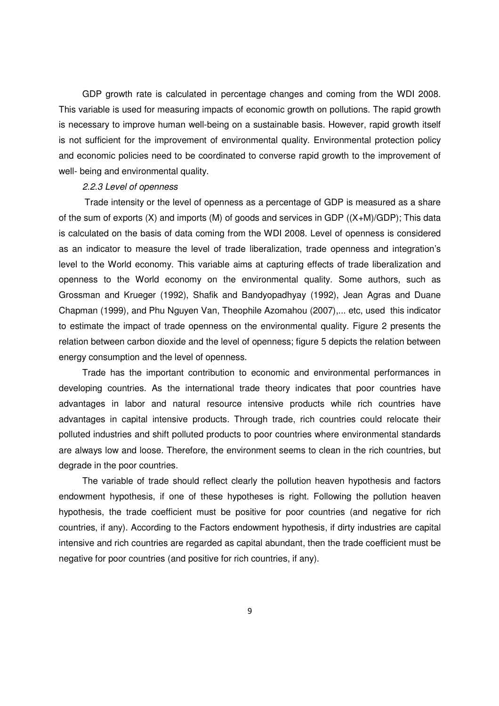GDP growth rate is calculated in percentage changes and coming from the WDI 2008. This variable is used for measuring impacts of economic growth on pollutions. The rapid growth is necessary to improve human well-being on a sustainable basis. However, rapid growth itself is not sufficient for the improvement of environmental quality. Environmental protection policy and economic policies need to be coordinated to converse rapid growth to the improvement of well- being and environmental quality.

#### 2.2.3 Level of openness

 Trade intensity or the level of openness as a percentage of GDP is measured as a share of the sum of exports (X) and imports (M) of goods and services in GDP ((X+M)/GDP); This data is calculated on the basis of data coming from the WDI 2008. Level of openness is considered as an indicator to measure the level of trade liberalization, trade openness and integration's level to the World economy. This variable aims at capturing effects of trade liberalization and openness to the World economy on the environmental quality. Some authors, such as Grossman and Krueger (1992), Shafik and Bandyopadhyay (1992), Jean Agras and Duane Chapman (1999), and Phu Nguyen Van, Theophile Azomahou (2007),... etc, used this indicator to estimate the impact of trade openness on the environmental quality. Figure 2 presents the relation between carbon dioxide and the level of openness; figure 5 depicts the relation between energy consumption and the level of openness.

Trade has the important contribution to economic and environmental performances in developing countries. As the international trade theory indicates that poor countries have advantages in labor and natural resource intensive products while rich countries have advantages in capital intensive products. Through trade, rich countries could relocate their polluted industries and shift polluted products to poor countries where environmental standards are always low and loose. Therefore, the environment seems to clean in the rich countries, but degrade in the poor countries.

The variable of trade should reflect clearly the pollution heaven hypothesis and factors endowment hypothesis, if one of these hypotheses is right. Following the pollution heaven hypothesis, the trade coefficient must be positive for poor countries (and negative for rich countries, if any). According to the Factors endowment hypothesis, if dirty industries are capital intensive and rich countries are regarded as capital abundant, then the trade coefficient must be negative for poor countries (and positive for rich countries, if any).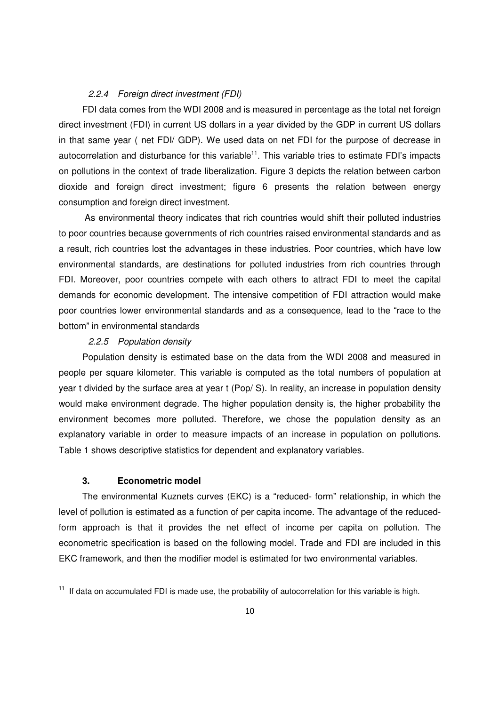#### 2.2.4 Foreign direct investment (FDI)

FDI data comes from the WDI 2008 and is measured in percentage as the total net foreign direct investment (FDI) in current US dollars in a year divided by the GDP in current US dollars in that same year ( net FDI/ GDP). We used data on net FDI for the purpose of decrease in autocorrelation and disturbance for this variable<sup>11</sup>. This variable tries to estimate FDI's impacts on pollutions in the context of trade liberalization. Figure 3 depicts the relation between carbon dioxide and foreign direct investment; figure 6 presents the relation between energy consumption and foreign direct investment.

 As environmental theory indicates that rich countries would shift their polluted industries to poor countries because governments of rich countries raised environmental standards and as a result, rich countries lost the advantages in these industries. Poor countries, which have low environmental standards, are destinations for polluted industries from rich countries through FDI. Moreover, poor countries compete with each others to attract FDI to meet the capital demands for economic development. The intensive competition of FDI attraction would make poor countries lower environmental standards and as a consequence, lead to the "race to the bottom" in environmental standards

#### 2.2.5 Population density

Population density is estimated base on the data from the WDI 2008 and measured in people per square kilometer. This variable is computed as the total numbers of population at year t divided by the surface area at year t (Pop/ S). In reality, an increase in population density would make environment degrade. The higher population density is, the higher probability the environment becomes more polluted. Therefore, we chose the population density as an explanatory variable in order to measure impacts of an increase in population on pollutions. Table 1 shows descriptive statistics for dependent and explanatory variables.

#### **3. Econometric model**

<u>.</u>

The environmental Kuznets curves (EKC) is a "reduced- form" relationship, in which the level of pollution is estimated as a function of per capita income. The advantage of the reducedform approach is that it provides the net effect of income per capita on pollution. The econometric specification is based on the following model. Trade and FDI are included in this EKC framework, and then the modifier model is estimated for two environmental variables.

 $11$  If data on accumulated FDI is made use, the probability of autocorrelation for this variable is high.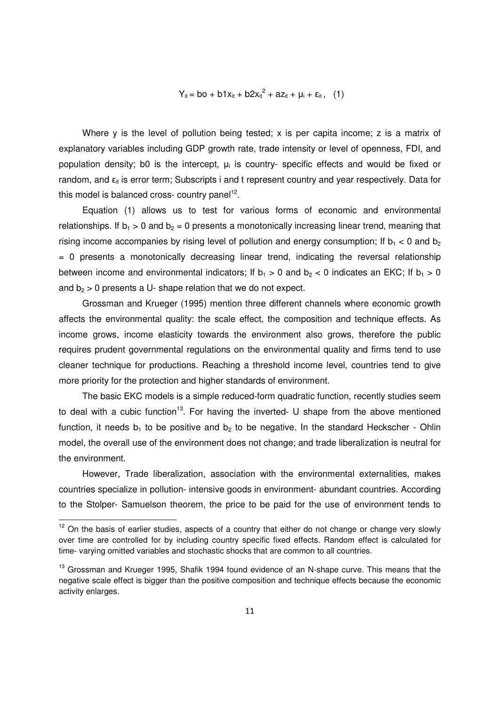## $Y_{it} = bo + b1x_{it} + b2x_{it}^{2} + az_{it} + \mu_{i} + \varepsilon_{it}$ , (1)

Where y is the level of pollution being tested; x is per capita income; z is a matrix of explanatory variables including GDP growth rate, trade intensity or level of openness, FDI, and population density; b0 is the intercept,  $\mu_i$  is country- specific effects and would be fixed or random, and  $\varepsilon_{ij}$  is error term; Subscripts i and t represent country and year respectively. Data for this model is balanced cross- country panel<sup>12</sup>.

Equation (1) allows us to test for various forms of economic and environmental relationships. If  $b_1 > 0$  and  $b_2 = 0$  presents a monotonically increasing linear trend, meaning that rising income accompanies by rising level of pollution and energy consumption; If  $b_1 < 0$  and  $b_2$ = 0 presents a monotonically decreasing linear trend, indicating the reversal relationship between income and environmental indicators; If  $b_1 > 0$  and  $b_2 < 0$  indicates an EKC; If  $b_1 > 0$ and  $b_2 > 0$  presents a U- shape relation that we do not expect.

Grossman and Krueger (1995) mention three different channels where economic growth affects the environmental quality: the scale effect, the composition and technique effects. As income grows, income elasticity towards the environment also grows, therefore the public requires prudent governmental regulations on the environmental quality and firms tend to use cleaner technique for productions. Reaching a threshold income level, countries tend to give more priority for the protection and higher standards of environment.

The basic EKC models is a simple reduced-form quadratic function, recently studies seem to deal with a cubic function<sup>13</sup>. For having the inverted-  $U$  shape from the above mentioned function, it needs  $b_1$  to be positive and  $b_2$  to be negative. In the standard Heckscher - Ohlin model, the overall use of the environment does not change; and trade liberalization is neutral for the environment.

However, Trade liberalization, association with the environmental externalities, makes countries specialize in pollution- intensive goods in environment- abundant countries. According to the Stolper- Samuelson theorem, the price to be paid for the use of environment tends to

 $12$  On the basis of earlier studies, aspects of a country that either do not change or change very slowly over time are controlled for by including country specific fixed effects. Random effect is calculated for time- varying omitted variables and stochastic shocks that are common to all countries.

<sup>&</sup>lt;sup>13</sup> Grossman and Krueger 1995, Shafik 1994 found evidence of an N-shape curve. This means that the negative scale effect is bigger than the positive composition and technique effects because the economic activity enlarges.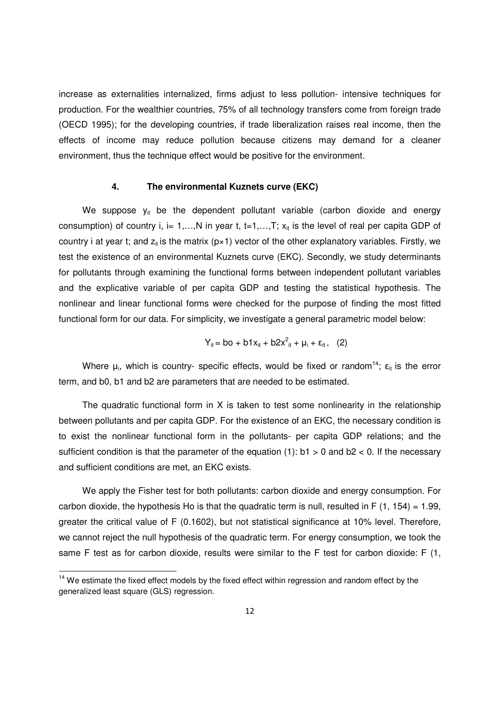increase as externalities internalized, firms adjust to less pollution- intensive techniques for production. For the wealthier countries, 75% of all technology transfers come from foreign trade (OECD 1995); for the developing countries, if trade liberalization raises real income, then the effects of income may reduce pollution because citizens may demand for a cleaner environment, thus the technique effect would be positive for the environment.

#### **4. The environmental Kuznets curve (EKC)**

We suppose  $y_{it}$  be the dependent pollutant variable (carbon dioxide and energy consumption) of country i, i= 1,...,N in year t, t=1,...,T;  $x_{it}$  is the level of real per capita GDP of country i at year t; and  $z<sub>it</sub>$  is the matrix (p×1) vector of the other explanatory variables. Firstly, we test the existence of an environmental Kuznets curve (EKC). Secondly, we study determinants for pollutants through examining the functional forms between independent pollutant variables and the explicative variable of per capita GDP and testing the statistical hypothesis. The nonlinear and linear functional forms were checked for the purpose of finding the most fitted functional form for our data. For simplicity, we investigate a general parametric model below:

$$
Y_{it} = bo + b1x_{it} + b2x_{it}^{2} + \mu_{i} + \varepsilon_{it}, \quad (2)
$$

Where  $\mu_i$ , which is country- specific effects, would be fixed or random<sup>14</sup>;  $\epsilon_{it}$  is the error term, and b0, b1 and b2 are parameters that are needed to be estimated.

The quadratic functional form in X is taken to test some nonlinearity in the relationship between pollutants and per capita GDP. For the existence of an EKC, the necessary condition is to exist the nonlinear functional form in the pollutants- per capita GDP relations; and the sufficient condition is that the parameter of the equation (1):  $b1 > 0$  and  $b2 < 0$ . If the necessary and sufficient conditions are met, an EKC exists.

We apply the Fisher test for both pollutants: carbon dioxide and energy consumption. For carbon dioxide, the hypothesis Ho is that the quadratic term is null, resulted in F  $(1, 154) = 1.99$ , greater the critical value of F (0.1602), but not statistical significance at 10% level. Therefore, we cannot reject the null hypothesis of the quadratic term. For energy consumption, we took the same F test as for carbon dioxide, results were similar to the F test for carbon dioxide: F (1,

<sup>&</sup>lt;sup>14</sup> We estimate the fixed effect models by the fixed effect within regression and random effect by the generalized least square (GLS) regression.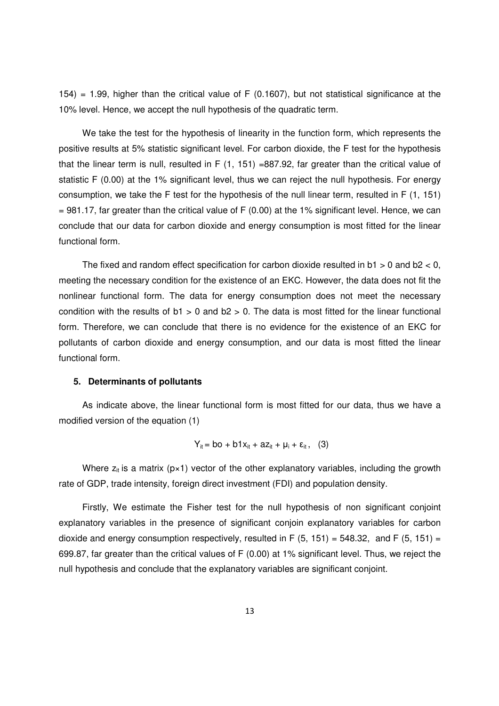$154$ ) = 1.99, higher than the critical value of F (0.1607), but not statistical significance at the 10% level. Hence, we accept the null hypothesis of the quadratic term.

We take the test for the hypothesis of linearity in the function form, which represents the positive results at 5% statistic significant level. For carbon dioxide, the F test for the hypothesis that the linear term is null, resulted in F (1, 151) =887.92, far greater than the critical value of statistic F (0.00) at the 1% significant level, thus we can reject the null hypothesis. For energy consumption, we take the F test for the hypothesis of the null linear term, resulted in F (1, 151)  $= 981.17$ , far greater than the critical value of F (0.00) at the 1% significant level. Hence, we can conclude that our data for carbon dioxide and energy consumption is most fitted for the linear functional form.

The fixed and random effect specification for carbon dioxide resulted in  $b1 > 0$  and  $b2 < 0$ , meeting the necessary condition for the existence of an EKC. However, the data does not fit the nonlinear functional form. The data for energy consumption does not meet the necessary condition with the results of  $b1 > 0$  and  $b2 > 0$ . The data is most fitted for the linear functional form. Therefore, we can conclude that there is no evidence for the existence of an EKC for pollutants of carbon dioxide and energy consumption, and our data is most fitted the linear functional form.

### **5. Determinants of pollutants**

As indicate above, the linear functional form is most fitted for our data, thus we have a modified version of the equation (1)

$$
Y_{it} = bo + b1x_{it} + az_{it} + \mu_i + \varepsilon_{it}, \quad (3)
$$

Where  $z_{it}$  is a matrix ( $p \times 1$ ) vector of the other explanatory variables, including the growth rate of GDP, trade intensity, foreign direct investment (FDI) and population density.

Firstly, We estimate the Fisher test for the null hypothesis of non significant conjoint explanatory variables in the presence of significant conjoin explanatory variables for carbon dioxide and energy consumption respectively, resulted in F  $(5, 151) = 548.32$ , and F  $(5, 151) =$ 699.87, far greater than the critical values of F (0.00) at 1% significant level. Thus, we reject the null hypothesis and conclude that the explanatory variables are significant conjoint.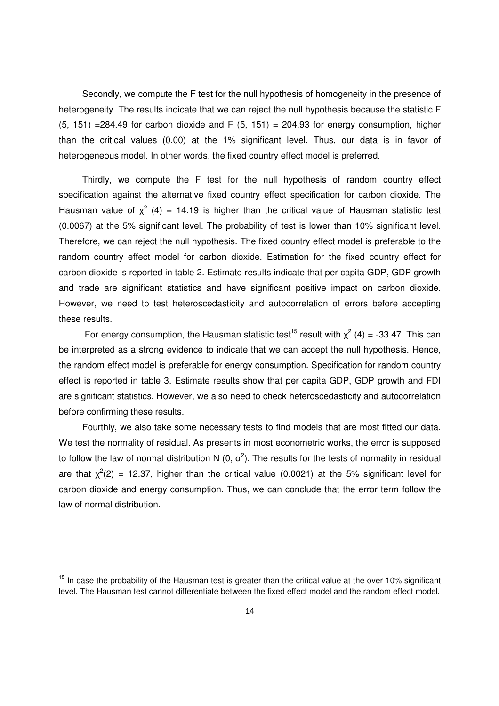Secondly, we compute the F test for the null hypothesis of homogeneity in the presence of heterogeneity. The results indicate that we can reject the null hypothesis because the statistic F  $(5, 151)$  =284.49 for carbon dioxide and F  $(5, 151)$  = 204.93 for energy consumption, higher than the critical values (0.00) at the 1% significant level. Thus, our data is in favor of heterogeneous model. In other words, the fixed country effect model is preferred.

Thirdly, we compute the F test for the null hypothesis of random country effect specification against the alternative fixed country effect specification for carbon dioxide. The Hausman value of  $\chi^2$  (4) = 14.19 is higher than the critical value of Hausman statistic test (0.0067) at the 5% significant level. The probability of test is lower than 10% significant level. Therefore, we can reject the null hypothesis. The fixed country effect model is preferable to the random country effect model for carbon dioxide. Estimation for the fixed country effect for carbon dioxide is reported in table 2. Estimate results indicate that per capita GDP, GDP growth and trade are significant statistics and have significant positive impact on carbon dioxide. However, we need to test heteroscedasticity and autocorrelation of errors before accepting these results.

For energy consumption, the Hausman statistic test<sup>15</sup> result with  $\chi^2$  (4) = -33.47. This can be interpreted as a strong evidence to indicate that we can accept the null hypothesis. Hence, the random effect model is preferable for energy consumption. Specification for random country effect is reported in table 3. Estimate results show that per capita GDP, GDP growth and FDI are significant statistics. However, we also need to check heteroscedasticity and autocorrelation before confirming these results.

Fourthly, we also take some necessary tests to find models that are most fitted our data. We test the normality of residual. As presents in most econometric works, the error is supposed to follow the law of normal distribution N (0,  $\sigma^2$ ). The results for the tests of normality in residual are that  $\chi^2(2)$  = 12.37, higher than the critical value (0.0021) at the 5% significant level for carbon dioxide and energy consumption. Thus, we can conclude that the error term follow the law of normal distribution.

 $15$  In case the probability of the Hausman test is greater than the critical value at the over 10% significant level. The Hausman test cannot differentiate between the fixed effect model and the random effect model.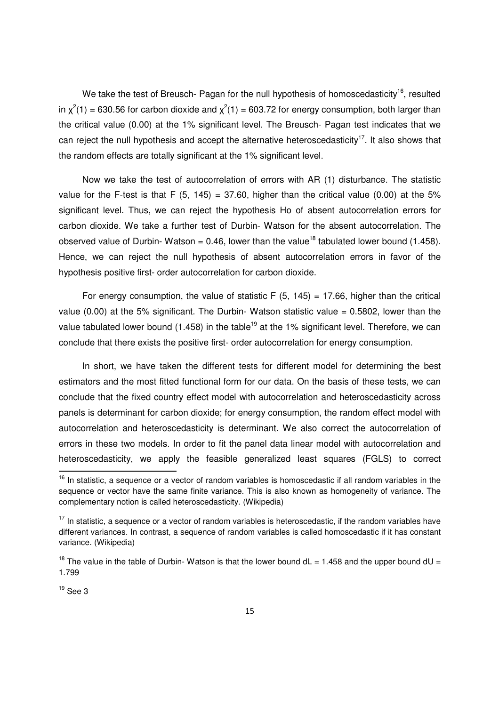We take the test of Breusch- Pagan for the null hypothesis of homoscedasticity<sup>16</sup>, resulted in  $\chi^2(1)$  = 630.56 for carbon dioxide and  $\chi^2(1)$  = 603.72 for energy consumption, both larger than the critical value (0.00) at the 1% significant level. The Breusch- Pagan test indicates that we can reject the null hypothesis and accept the alternative heteroscedasticity<sup>17</sup>. It also shows that the random effects are totally significant at the 1% significant level.

Now we take the test of autocorrelation of errors with AR (1) disturbance. The statistic value for the F-test is that F  $(5, 145) = 37.60$ , higher than the critical value  $(0.00)$  at the 5% significant level. Thus, we can reject the hypothesis Ho of absent autocorrelation errors for carbon dioxide. We take a further test of Durbin- Watson for the absent autocorrelation. The observed value of Durbin- Watson = 0.46, lower than the value<sup>18</sup> tabulated lower bound (1.458). Hence, we can reject the null hypothesis of absent autocorrelation errors in favor of the hypothesis positive first- order autocorrelation for carbon dioxide.

For energy consumption, the value of statistic F  $(5, 145) = 17.66$ , higher than the critical value (0.00) at the 5% significant. The Durbin- Watson statistic value  $= 0.5802$ , lower than the value tabulated lower bound (1.458) in the table<sup>19</sup> at the 1% significant level. Therefore, we can conclude that there exists the positive first- order autocorrelation for energy consumption.

In short, we have taken the different tests for different model for determining the best estimators and the most fitted functional form for our data. On the basis of these tests, we can conclude that the fixed country effect model with autocorrelation and heteroscedasticity across panels is determinant for carbon dioxide; for energy consumption, the random effect model with autocorrelation and heteroscedasticity is determinant. We also correct the autocorrelation of errors in these two models. In order to fit the panel data linear model with autocorrelation and heteroscedasticity, we apply the feasible generalized least squares (FGLS) to correct

 $16$  In statistic, a sequence or a vector of random variables is homoscedastic if all random variables in the sequence or vector have the same finite variance. This is also known as homogeneity of variance. The complementary notion is called heteroscedasticity. (Wikipedia)

 $17$  In statistic, a sequence or a vector of random variables is heteroscedastic, if the random variables have different variances. In contrast, a sequence of random variables is called homoscedastic if it has constant variance. (Wikipedia)

<sup>&</sup>lt;sup>18</sup> The value in the table of Durbin- Watson is that the lower bound  $dL = 1.458$  and the upper bound  $dU =$ 1.799

 $19$  See 3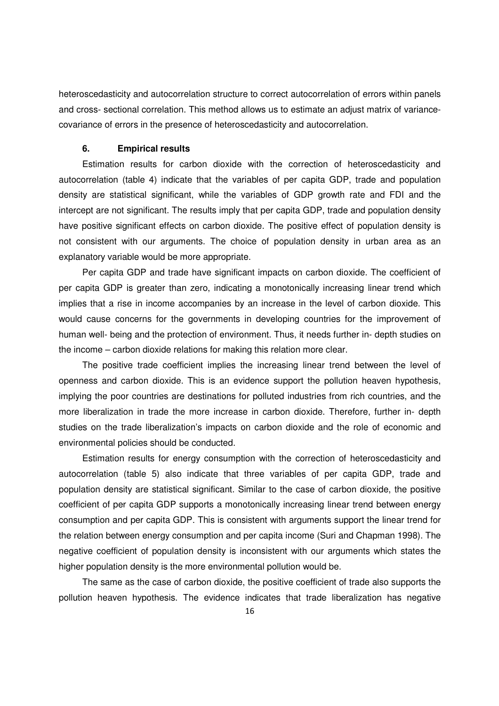heteroscedasticity and autocorrelation structure to correct autocorrelation of errors within panels and cross- sectional correlation. This method allows us to estimate an adjust matrix of variancecovariance of errors in the presence of heteroscedasticity and autocorrelation.

#### **6. Empirical results**

Estimation results for carbon dioxide with the correction of heteroscedasticity and autocorrelation (table 4) indicate that the variables of per capita GDP, trade and population density are statistical significant, while the variables of GDP growth rate and FDI and the intercept are not significant. The results imply that per capita GDP, trade and population density have positive significant effects on carbon dioxide. The positive effect of population density is not consistent with our arguments. The choice of population density in urban area as an explanatory variable would be more appropriate.

Per capita GDP and trade have significant impacts on carbon dioxide. The coefficient of per capita GDP is greater than zero, indicating a monotonically increasing linear trend which implies that a rise in income accompanies by an increase in the level of carbon dioxide. This would cause concerns for the governments in developing countries for the improvement of human well- being and the protection of environment. Thus, it needs further in- depth studies on the income – carbon dioxide relations for making this relation more clear.

The positive trade coefficient implies the increasing linear trend between the level of openness and carbon dioxide. This is an evidence support the pollution heaven hypothesis, implying the poor countries are destinations for polluted industries from rich countries, and the more liberalization in trade the more increase in carbon dioxide. Therefore, further in- depth studies on the trade liberalization's impacts on carbon dioxide and the role of economic and environmental policies should be conducted.

Estimation results for energy consumption with the correction of heteroscedasticity and autocorrelation (table 5) also indicate that three variables of per capita GDP, trade and population density are statistical significant. Similar to the case of carbon dioxide, the positive coefficient of per capita GDP supports a monotonically increasing linear trend between energy consumption and per capita GDP. This is consistent with arguments support the linear trend for the relation between energy consumption and per capita income (Suri and Chapman 1998). The negative coefficient of population density is inconsistent with our arguments which states the higher population density is the more environmental pollution would be.

The same as the case of carbon dioxide, the positive coefficient of trade also supports the pollution heaven hypothesis. The evidence indicates that trade liberalization has negative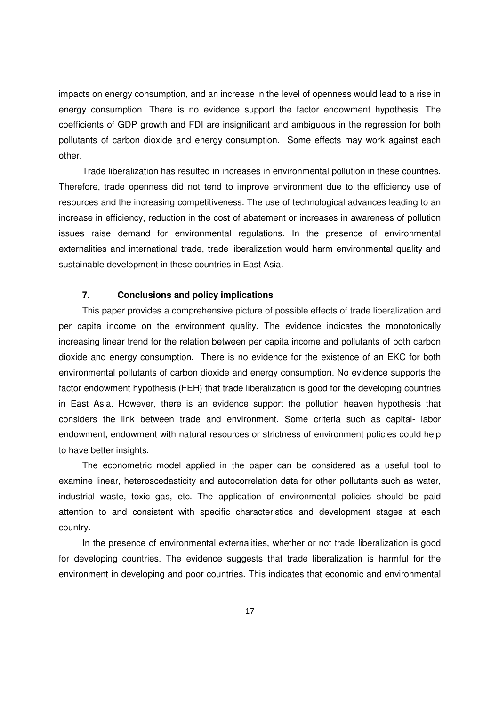impacts on energy consumption, and an increase in the level of openness would lead to a rise in energy consumption. There is no evidence support the factor endowment hypothesis. The coefficients of GDP growth and FDI are insignificant and ambiguous in the regression for both pollutants of carbon dioxide and energy consumption. Some effects may work against each other.

Trade liberalization has resulted in increases in environmental pollution in these countries. Therefore, trade openness did not tend to improve environment due to the efficiency use of resources and the increasing competitiveness. The use of technological advances leading to an increase in efficiency, reduction in the cost of abatement or increases in awareness of pollution issues raise demand for environmental regulations. In the presence of environmental externalities and international trade, trade liberalization would harm environmental quality and sustainable development in these countries in East Asia.

### **7. Conclusions and policy implications**

This paper provides a comprehensive picture of possible effects of trade liberalization and per capita income on the environment quality. The evidence indicates the monotonically increasing linear trend for the relation between per capita income and pollutants of both carbon dioxide and energy consumption. There is no evidence for the existence of an EKC for both environmental pollutants of carbon dioxide and energy consumption. No evidence supports the factor endowment hypothesis (FEH) that trade liberalization is good for the developing countries in East Asia. However, there is an evidence support the pollution heaven hypothesis that considers the link between trade and environment. Some criteria such as capital- labor endowment, endowment with natural resources or strictness of environment policies could help to have better insights.

The econometric model applied in the paper can be considered as a useful tool to examine linear, heteroscedasticity and autocorrelation data for other pollutants such as water, industrial waste, toxic gas, etc. The application of environmental policies should be paid attention to and consistent with specific characteristics and development stages at each country.

In the presence of environmental externalities, whether or not trade liberalization is good for developing countries. The evidence suggests that trade liberalization is harmful for the environment in developing and poor countries. This indicates that economic and environmental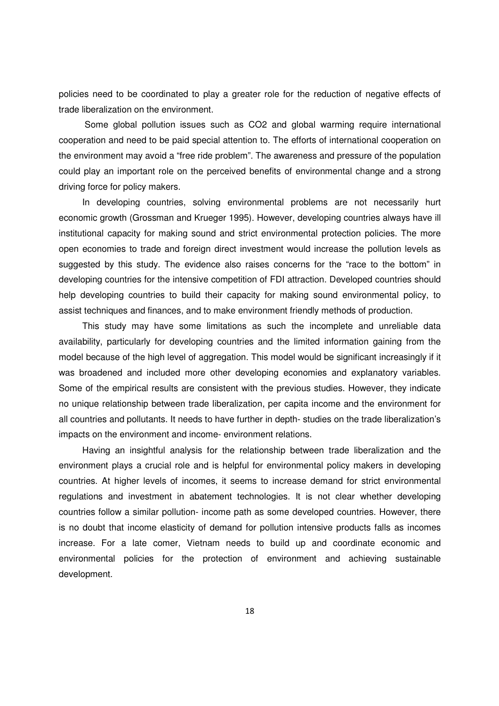policies need to be coordinated to play a greater role for the reduction of negative effects of trade liberalization on the environment.

 Some global pollution issues such as CO2 and global warming require international cooperation and need to be paid special attention to. The efforts of international cooperation on the environment may avoid a "free ride problem". The awareness and pressure of the population could play an important role on the perceived benefits of environmental change and a strong driving force for policy makers.

In developing countries, solving environmental problems are not necessarily hurt economic growth (Grossman and Krueger 1995). However, developing countries always have ill institutional capacity for making sound and strict environmental protection policies. The more open economies to trade and foreign direct investment would increase the pollution levels as suggested by this study. The evidence also raises concerns for the "race to the bottom" in developing countries for the intensive competition of FDI attraction. Developed countries should help developing countries to build their capacity for making sound environmental policy, to assist techniques and finances, and to make environment friendly methods of production.

This study may have some limitations as such the incomplete and unreliable data availability, particularly for developing countries and the limited information gaining from the model because of the high level of aggregation. This model would be significant increasingly if it was broadened and included more other developing economies and explanatory variables. Some of the empirical results are consistent with the previous studies. However, they indicate no unique relationship between trade liberalization, per capita income and the environment for all countries and pollutants. It needs to have further in depth- studies on the trade liberalization's impacts on the environment and income- environment relations.

Having an insightful analysis for the relationship between trade liberalization and the environment plays a crucial role and is helpful for environmental policy makers in developing countries. At higher levels of incomes, it seems to increase demand for strict environmental regulations and investment in abatement technologies. It is not clear whether developing countries follow a similar pollution- income path as some developed countries. However, there is no doubt that income elasticity of demand for pollution intensive products falls as incomes increase. For a late comer, Vietnam needs to build up and coordinate economic and environmental policies for the protection of environment and achieving sustainable development.

18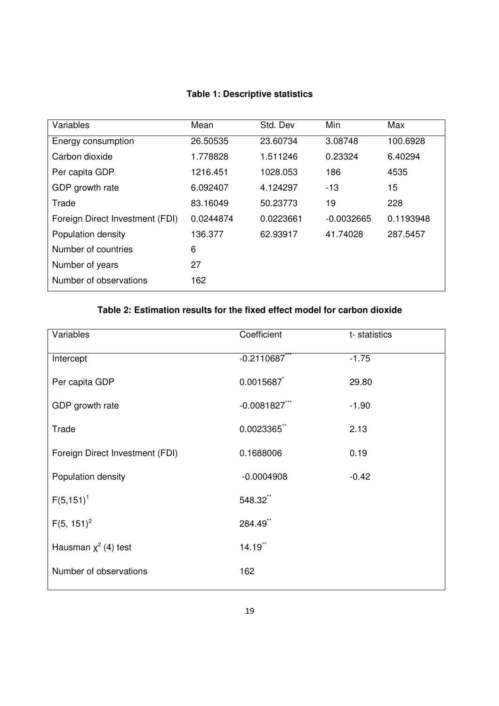## **Table 1: Descriptive statistics**

| Variables                       | Mean      | Std. Dev  | Min          | Max       |
|---------------------------------|-----------|-----------|--------------|-----------|
| Energy consumption              | 26.50535  | 23.60734  | 3.08748      | 100.6928  |
| Carbon dioxide                  | 1.778828  | 1.511246  | 0.23324      | 6.40294   |
| Per capita GDP                  | 1216.451  | 1028.053  | 186          | 4535      |
| GDP growth rate                 | 6.092407  | 4.124297  | -13          | 15        |
| Trade                           | 83.16049  | 50.23773  | 19           | 228       |
| Foreign Direct Investment (FDI) | 0.0244874 | 0.0223661 | $-0.0032665$ | 0.1193948 |
| Population density              | 136.377   | 62.93917  | 41.74028     | 287.5457  |
| Number of countries             | 6         |           |              |           |
| Number of years                 | 27        |           |              |           |
| Number of observations          | 162       |           |              |           |

# **Table 2: Estimation results for the fixed effect model for carbon dioxide**

| Variables                       | Coefficient      | t-statistics |
|---------------------------------|------------------|--------------|
| Intercept                       | $-0.2110687$     | $-1.75$      |
| Per capita GDP                  | 0.0015687        | 29.80        |
| GDP growth rate                 | $-0.0081827$ *** | $-1.90$      |
| Trade                           | 0.0023365        | 2.13         |
| Foreign Direct Investment (FDI) | 0.1688006        | 0.19         |
| Population density              | $-0.0004908$     | $-0.42$      |
| $F(5, 151)^1$                   | 548.32**         |              |
| $F(5, 151)^2$                   | 284.49*          |              |
| Hausman $\chi^2$ (4) test       | 14.19**          |              |
| Number of observations          | 162              |              |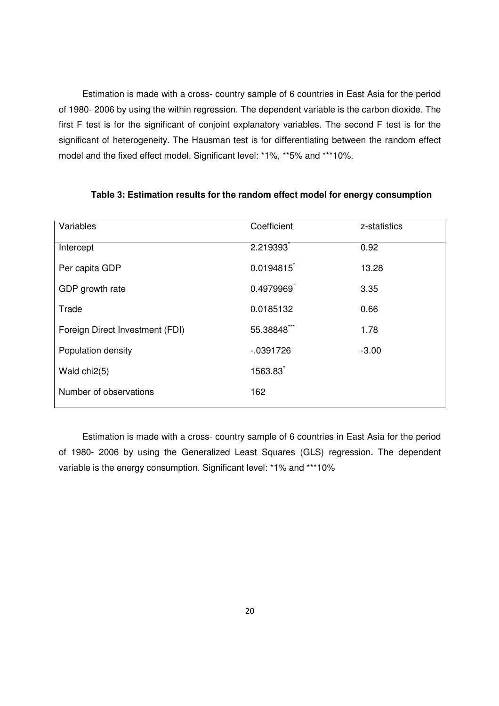Estimation is made with a cross- country sample of 6 countries in East Asia for the period of 1980- 2006 by using the within regression. The dependent variable is the carbon dioxide. The first F test is for the significant of conjoint explanatory variables. The second F test is for the significant of heterogeneity. The Hausman test is for differentiating between the random effect model and the fixed effect model. Significant level: \*1%, \*\*5% and \*\*\*10%.

| Variables                       | Coefficient  | z-statistics |
|---------------------------------|--------------|--------------|
| Intercept                       | 2.219393     | 0.92         |
| Per capita GDP                  | 0.0194815    | 13.28        |
| GDP growth rate                 | 0.4979969    | 3.35         |
| Trade                           | 0.0185132    | 0.66         |
| Foreign Direct Investment (FDI) | 55.38848     | 1.78         |
| Population density              | $-0.0391726$ | $-3.00$      |
| Wald chi2(5)                    | 1563.83      |              |
| Number of observations          | 162          |              |

## **Table 3: Estimation results for the random effect model for energy consumption**

Estimation is made with a cross- country sample of 6 countries in East Asia for the period of 1980- 2006 by using the Generalized Least Squares (GLS) regression. The dependent variable is the energy consumption. Significant level: \*1% and \*\*\*10%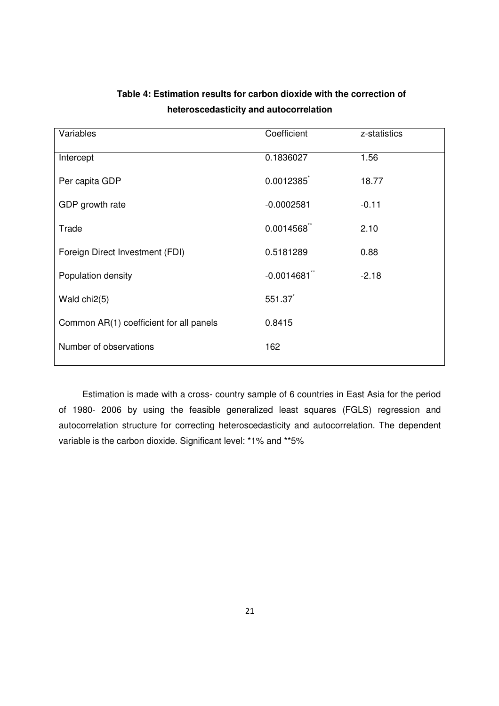| Variables                               | Coefficient  | z-statistics |
|-----------------------------------------|--------------|--------------|
| Intercept                               | 0.1836027    | 1.56         |
| Per capita GDP                          | 0.0012385    | 18.77        |
| GDP growth rate                         | $-0.0002581$ | $-0.11$      |
| Trade                                   | 0.0014568    | 2.10         |
| Foreign Direct Investment (FDI)         | 0.5181289    | 0.88         |
| Population density                      | $-0.0014681$ | $-2.18$      |
| Wald chi2(5)                            | 551.37       |              |
| Common AR(1) coefficient for all panels | 0.8415       |              |
| Number of observations                  | 162          |              |

# **Table 4: Estimation results for carbon dioxide with the correction of heteroscedasticity and autocorrelation**

Estimation is made with a cross- country sample of 6 countries in East Asia for the period of 1980- 2006 by using the feasible generalized least squares (FGLS) regression and autocorrelation structure for correcting heteroscedasticity and autocorrelation. The dependent variable is the carbon dioxide. Significant level: \*1% and \*\*5%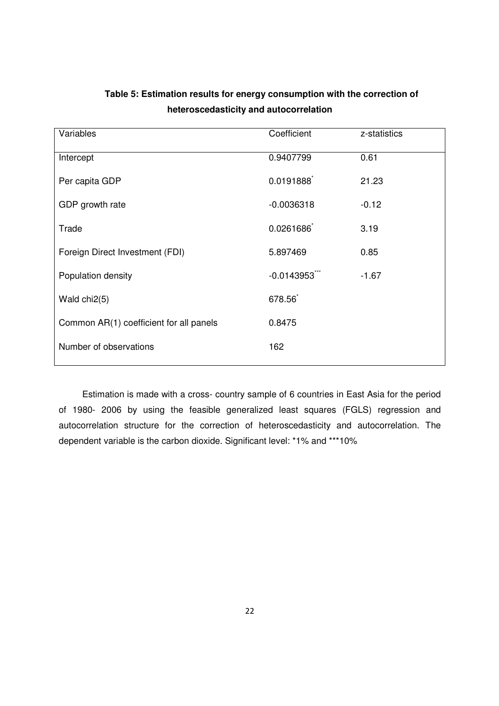| Variables                               | Coefficient  | z-statistics |
|-----------------------------------------|--------------|--------------|
| Intercept                               | 0.9407799    | 0.61         |
| Per capita GDP                          | 0.0191888    | 21.23        |
| GDP growth rate                         | $-0.0036318$ | $-0.12$      |
| Trade                                   | 0.0261686    | 3.19         |
| Foreign Direct Investment (FDI)         | 5.897469     | 0.85         |
| Population density                      | $-0.0143953$ | $-1.67$      |
| Wald chi2(5)                            | 678.56       |              |
| Common AR(1) coefficient for all panels | 0.8475       |              |
| Number of observations                  | 162          |              |

# **Table 5: Estimation results for energy consumption with the correction of heteroscedasticity and autocorrelation**

Estimation is made with a cross- country sample of 6 countries in East Asia for the period of 1980- 2006 by using the feasible generalized least squares (FGLS) regression and autocorrelation structure for the correction of heteroscedasticity and autocorrelation. The dependent variable is the carbon dioxide. Significant level: \*1% and \*\*\*10%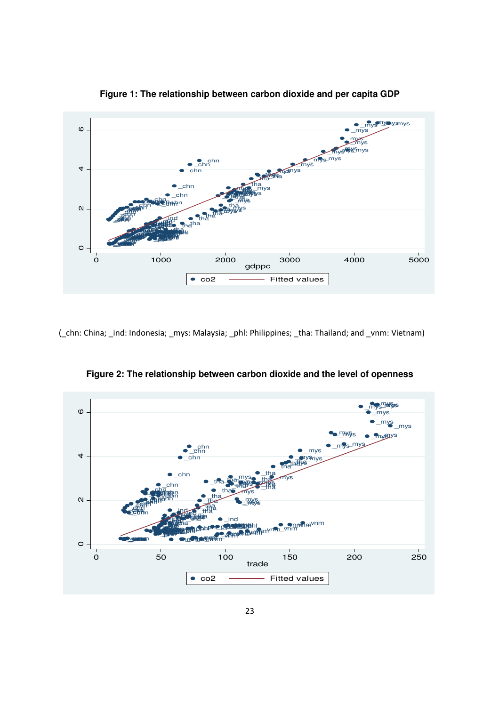

**Figure 1: The relationship between carbon dioxide and per capita GDP** 

(\_chn: China; \_ind: Indonesia; \_mys: Malaysia; \_phl: Philippines; \_tha: Thailand; and \_vnm: Vietnam)



**Figure 2: The relationship between carbon dioxide and the level of openness**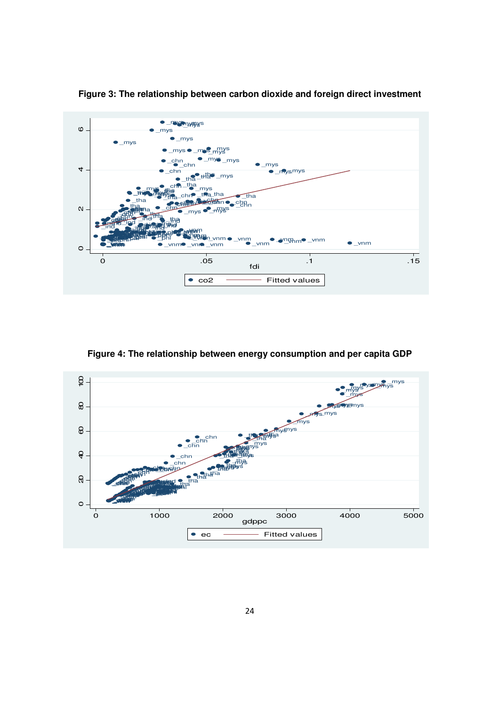

**Figure 3: The relationship between carbon dioxide and foreign direct investment** 

**Figure 4: The relationship between energy consumption and per capita GDP** 

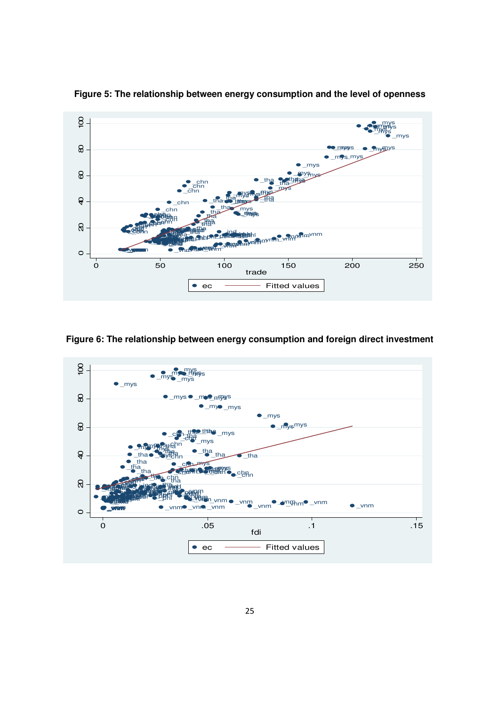

**Figure 5: The relationship between energy consumption and the level of openness** 

**Figure 6: The relationship between energy consumption and foreign direct investment** 

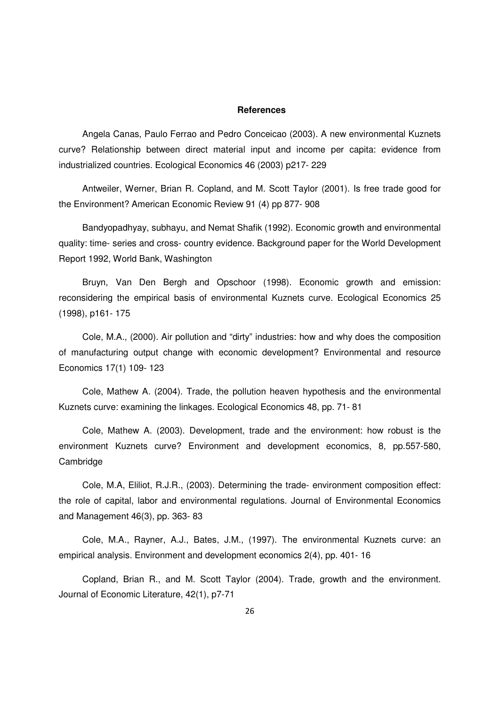#### **References**

Angela Canas, Paulo Ferrao and Pedro Conceicao (2003). A new environmental Kuznets curve? Relationship between direct material input and income per capita: evidence from industrialized countries. Ecological Economics 46 (2003) p217- 229

Antweiler, Werner, Brian R. Copland, and M. Scott Taylor (2001). Is free trade good for the Environment? American Economic Review 91 (4) pp 877- 908

Bandyopadhyay, subhayu, and Nemat Shafik (1992). Economic growth and environmental quality: time- series and cross- country evidence. Background paper for the World Development Report 1992, World Bank, Washington

Bruyn, Van Den Bergh and Opschoor (1998). Economic growth and emission: reconsidering the empirical basis of environmental Kuznets curve. Ecological Economics 25 (1998), p161- 175

Cole, M.A., (2000). Air pollution and "dirty" industries: how and why does the composition of manufacturing output change with economic development? Environmental and resource Economics 17(1) 109- 123

Cole, Mathew A. (2004). Trade, the pollution heaven hypothesis and the environmental Kuznets curve: examining the linkages. Ecological Economics 48, pp. 71- 81

Cole, Mathew A. (2003). Development, trade and the environment: how robust is the environment Kuznets curve? Environment and development economics, 8, pp.557-580, **Cambridge** 

Cole, M.A, Eliliot, R.J.R., (2003). Determining the trade- environment composition effect: the role of capital, labor and environmental regulations. Journal of Environmental Economics and Management 46(3), pp. 363- 83

Cole, M.A., Rayner, A.J., Bates, J.M., (1997). The environmental Kuznets curve: an empirical analysis. Environment and development economics 2(4), pp. 401- 16

Copland, Brian R., and M. Scott Taylor (2004). Trade, growth and the environment. Journal of Economic Literature, 42(1), p7-71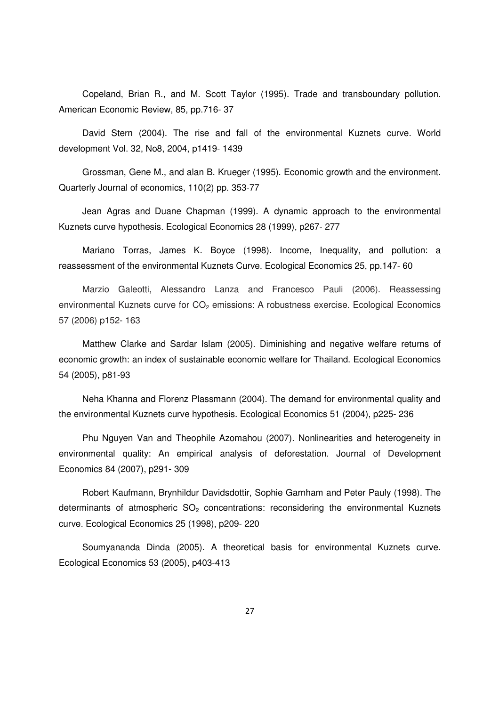Copeland, Brian R., and M. Scott Taylor (1995). Trade and transboundary pollution. American Economic Review, 85, pp.716- 37

David Stern (2004). The rise and fall of the environmental Kuznets curve. World development Vol. 32, No8, 2004, p1419- 1439

Grossman, Gene M., and alan B. Krueger (1995). Economic growth and the environment. Quarterly Journal of economics, 110(2) pp. 353-77

Jean Agras and Duane Chapman (1999). A dynamic approach to the environmental Kuznets curve hypothesis. Ecological Economics 28 (1999), p267- 277

Mariano Torras, James K. Boyce (1998). Income, Inequality, and pollution: a reassessment of the environmental Kuznets Curve. Ecological Economics 25, pp.147- 60

Marzio Galeotti, Alessandro Lanza and Francesco Pauli (2006). Reassessing environmental Kuznets curve for CO<sub>2</sub> emissions: A robustness exercise. Ecological Economics 57 (2006) p152- 163

Matthew Clarke and Sardar Islam (2005). Diminishing and negative welfare returns of economic growth: an index of sustainable economic welfare for Thailand. Ecological Economics 54 (2005), p81-93

Neha Khanna and Florenz Plassmann (2004). The demand for environmental quality and the environmental Kuznets curve hypothesis. Ecological Economics 51 (2004), p225- 236

Phu Nguyen Van and Theophile Azomahou (2007). Nonlinearities and heterogeneity in environmental quality: An empirical analysis of deforestation. Journal of Development Economics 84 (2007), p291- 309

Robert Kaufmann, Brynhildur Davidsdottir, Sophie Garnham and Peter Pauly (1998). The determinants of atmospheric  $SO<sub>2</sub>$  concentrations: reconsidering the environmental Kuznets curve. Ecological Economics 25 (1998), p209- 220

Soumyananda Dinda (2005). A theoretical basis for environmental Kuznets curve. Ecological Economics 53 (2005), p403-413